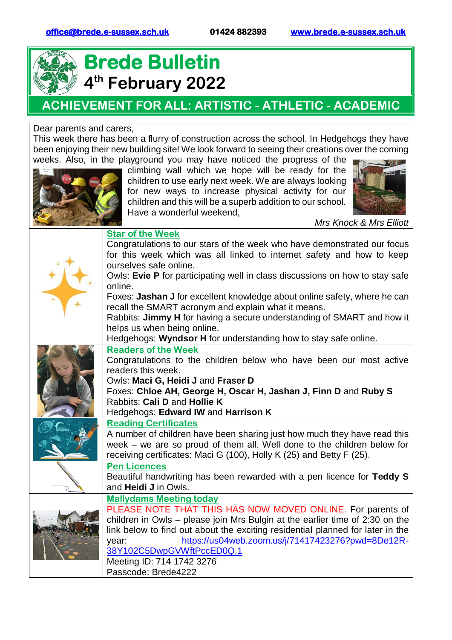

## **Brede Bulletin 4 th February 2022**

## **ACHIEVEMENT FOR ALL: ARTISTIC - ATHLETIC - ACADEMIC**

## Dear parents and carers,

This week there has been a flurry of construction across the school. In Hedgehogs they have been enjoying their new building site! We look forward to seeing their creations over the coming weeks. Also, in the playground you may have noticed the progress of the



climbing wall which we hope will be ready for the children to use early next week. We are always looking for new ways to increase physical activity for our children and this will be a superb addition to our school. Have a wonderful weekend,



*Mrs Knock & Mrs Elliott*

| <b>Star of the Week</b><br>Congratulations to our stars of the week who have demonstrated our focus<br>for this week which was all linked to internet safety and how to keep<br>ourselves safe online.<br>Owls: Evie P for participating well in class discussions on how to stay safe<br>online.<br>Foxes: Jashan J for excellent knowledge about online safety, where he can<br>recall the SMART acronym and explain what it means.<br>Rabbits: Jimmy H for having a secure understanding of SMART and how it<br>helps us when being online.<br>Hedgehogs: Wyndsor H for understanding how to stay safe online. |
|-------------------------------------------------------------------------------------------------------------------------------------------------------------------------------------------------------------------------------------------------------------------------------------------------------------------------------------------------------------------------------------------------------------------------------------------------------------------------------------------------------------------------------------------------------------------------------------------------------------------|
| <b>Readers of the Week</b><br>Congratulations to the children below who have been our most active<br>readers this week.<br>Owls: Maci G, Heidi J and Fraser D<br>Foxes: Chloe AH, George H, Oscar H, Jashan J, Finn D and Ruby S<br>Rabbits: Cali D and Hollie K<br>Hedgehogs: Edward IW and Harrison K                                                                                                                                                                                                                                                                                                           |
| <b>Reading Certificates</b><br>A number of children have been sharing just how much they have read this<br>week – we are so proud of them all. Well done to the children below for<br>receiving certificates: Maci G (100), Holly K (25) and Betty F (25).                                                                                                                                                                                                                                                                                                                                                        |
| <b>Pen Licences</b><br>Beautiful handwriting has been rewarded with a pen licence for Teddy S<br>and <b>Heidi J</b> in Owls.                                                                                                                                                                                                                                                                                                                                                                                                                                                                                      |
| <b>Mallydams Meeting today</b><br>PLEASE NOTE THAT THIS HAS NOW MOVED ONLINE. For parents of<br>children in Owls – please join Mrs Bulgin at the earlier time of 2:30 on the<br>link below to find out about the exciting residential planned for later in the<br>https://us04web.zoom.us/j/71417423276?pwd=8De12R-<br>year:<br>38Y102C5DwpGVWftPccED0Q.1<br>Meeting ID: 714 1742 3276<br>Passcode: Brede4222                                                                                                                                                                                                     |